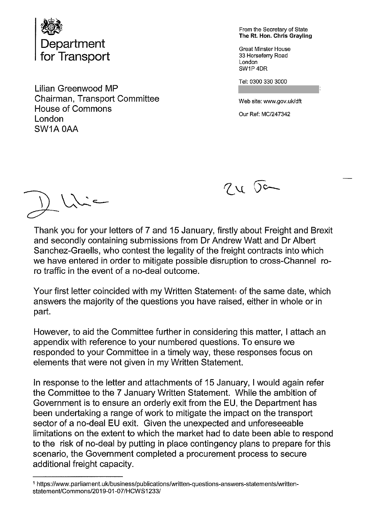

Lilian Greenwood MP Chairman, Transport Committee Web site: www.gov.uk/dft House of Commons<br>London Current Commons Current Current MC/247342 SWIA OAA

From the Secretary of State<br>The Rt. Hon. Chris Grayling

SW1P4DR

Tel: 0300 330 3000



Thank you for your letters of 7 and 15 January, firstly about Freight and Brexit and secondly containing submissions from Dr Andrew Watt and Dr Albert Sanchez-Graells, who contest the legality of the freight contracts into which we have entered in order to mitigate possible disruption to cross-Channel ro ro traffic in the event of a no-deal outcome.

Your first letter coincided with my Written Statement of the same date, which answers the majority of the questions you have raised, either in whole or in part.

However, to aid the Committee further in considering this matter, <sup>I</sup> attach an appendix with reference to your numbered questions. To ensure we responded to your Committee in a timely way, these responses focus on elements that were not given in my Written Statement.

In response to the letter and attachments of 15 January, <sup>I</sup> would again refer the Committee to the 7 January Written Statement. While the ambition of Government is to ensure an orderly exit from the EU, the Department has been undertaking a range of work to mitigate the impact on the transport sector of a no-deal EU exit. Given the unexpected and unforeseeable limitations on the extent to which the market had to date been able to respond to the risk of no-deal by putting in place contingency plans to prepare for this scenario, the Government completed a procurement process to secure additional freight capacity.

<sup>1</sup> https://www.parliament.uk/business/publications/written-questions-answers-statements/written statement/Commons/2019-01-07/HCWS1233/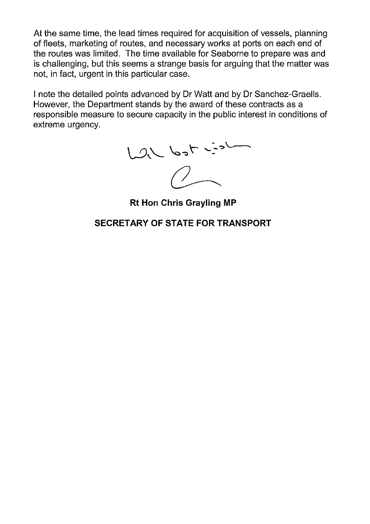At the same time, the lead times required for acquisition of vessels, planning of fleets, marketing of routes, and necessary works at ports on each end of the routes was limited. The time available for Seaborne to prepare was and is challenging, but this seems a strange basis for arguing that the matter was not, in fact, urgent in this particular case.

<sup>I</sup> note the detailed points advanced by Dr Watt and by Dr Sanchez-Graells. However, the Department stands by the award of these contracts as a responsible measure to secure capacity in the public interest in conditions of extreme urgency.

 $1026$  bot  $25$ 

Rt Hon Chris Grayling MP

SECRETARY OF STATE FOR TRANSPORT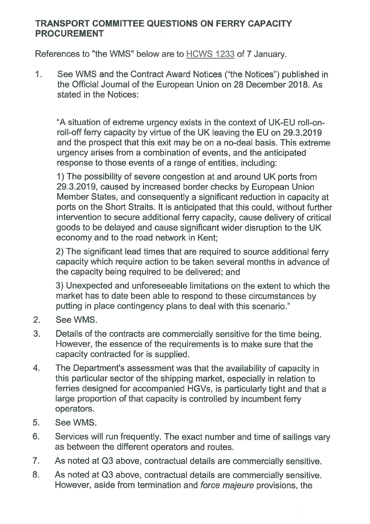## TRANSPORT COMMITTEE QUESTIONS ON FERRY CAPACITY PROCUREMENT

References to "the WMS" below are to HCWS 1233 of 7 January.

1. See WMS and the Contract Award Notices ("the Notices") published in the Official Journal of the European Union on 28 December 2018. As stated in the Notices:

"A situation of extreme urgency exists in the context of UK-EU roll-onroll-off ferry capacity by virtue of the UK leaving the EU on 29.3.2019 and the prospect that this exit may be on a no-deal basis. This extreme urgency arises from a combination of events, and the anticipated response to those events of a range of entities, including:

1) The possibility of severe congestion at and around UK ports from 29.3.2019, caused by increased border checks by European Union Member States, and consequently a significant reduction in capacity at ports on the Short Straits. It is anticipated that this could, without further intervention to secure additional ferry capacity, cause delivery of critical goods to be delayed and cause significant wider disruption to the UK economy and to the road network in Kent;

2) The significant lead times that are required to source additional ferry capacity which require action to be taken several months in advance of the capacity being required to be delivered; and

3) Unexpected and unforeseeable limitations on the extent to which the market has to date been able to respond to these circumstances by putting in place contingency plans to deal with this scenario."

- 2. See WMS.
- 3. Details of the contracts are commercially sensitive for the time being. However, the essence of the requirements is to make sure that the capacity contracted for is supplied.
- 4. The Department's assessment was that the availability of capacity in this particular sector of the shipping market, especially in relation to ferries designed for accompanied HGVs, is particularly tight and that a large proportion of that capacity is controlled by incumbent ferry operators.
- 5. See WMS.
- 6. Services will run frequently. The exact number and time of sailings vary as between the different operators and routes.
- 7. As noted at 03 above, contractual details are commercially sensitive.
- 8. As noted at Q3 above, contractual details are commercially sensitive. However, aside from termination and force majeure provisions, the